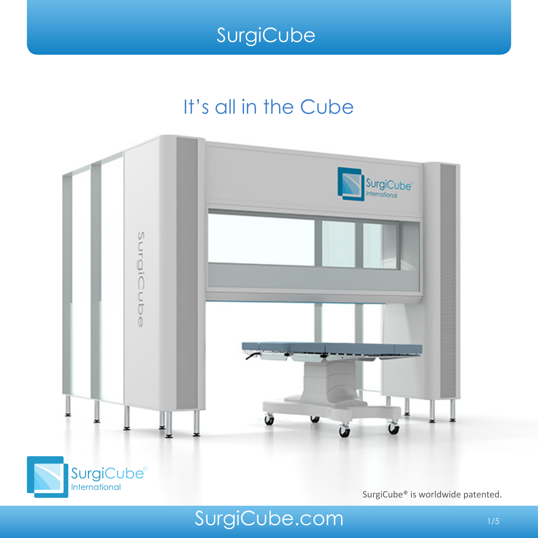### It's all in the Cube





SurgiCube® is worldwide patented.

SurgiCube.com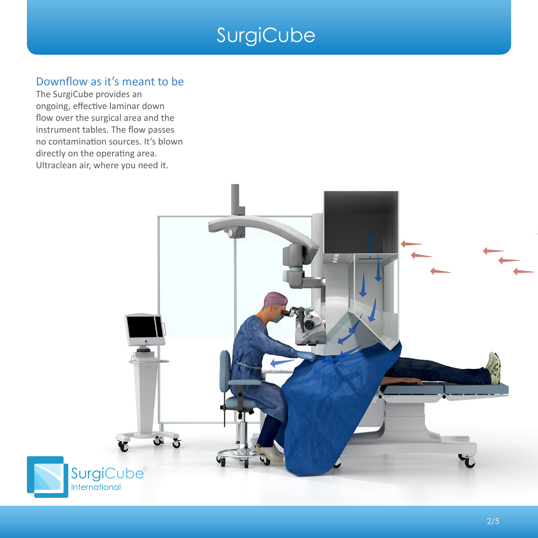#### Downflow as it's meant to be

The SurgiCube provides an ongoing, effective laminar down flow over the surgical area and the instrument tables. The flow passes no contamination sources. It's blown directly on the operating area. Ultraclean air, where you need it.

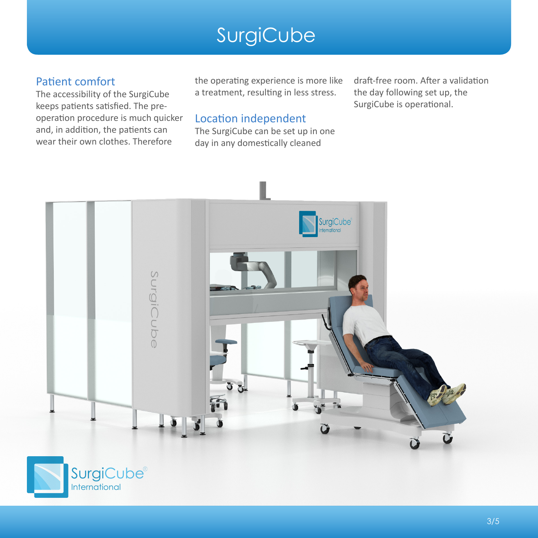#### Patient comfort

The accessibility of the SurgiCube keeps patients satisfied. The preoperation procedure is much quicker and, in addition, the patients can wear their own clothes. Therefore

the operating experience is more like a treatment, resulting in less stress.

draft-free room. After a validation the day following set up, the SurgiCube is operational.

#### Location independent

The SurgiCube can be set up in one day in any domestically cleaned

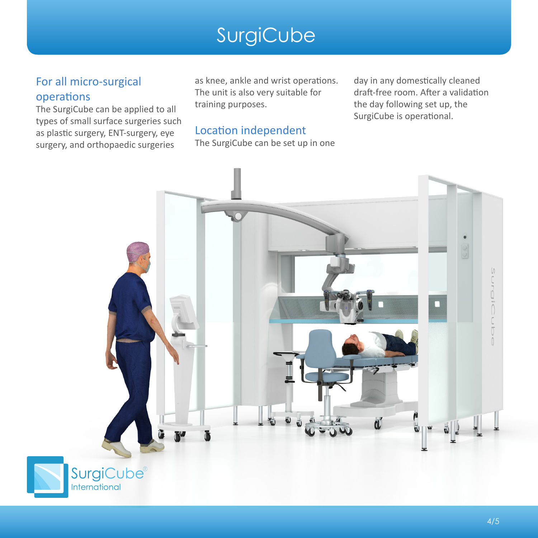#### For all micro-surgical operations

The SurgiCube can be applied to all types of small surface surgeries such as plastic surgery, ENT-surgery, eye surgery, and orthopaedic surgeries

as knee, ankle and wrist operations. The unit is also very suitable for training purposes.

#### Location independent

The SurgiCube can be set up in one

day in any domestically cleaned draft-free room. After a validation the day following set up, the SurgiCube is operational.